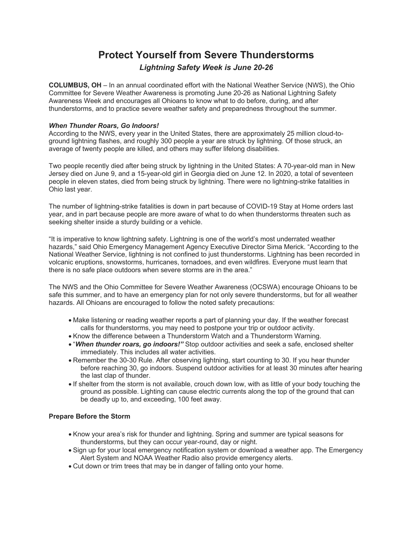# **Protect Yourself from Severe Thunderstorms** *Lightning Safety Week is June 20-26*

**COLUMBUS, OH** – In an annual coordinated effort with the National Weather Service (NWS), the Ohio Committee for Severe Weather Awareness is promoting June 20-26 as National Lightning Safety Awareness Week and encourages all Ohioans to know what to do before, during, and after thunderstorms, and to practice severe weather safety and preparedness throughout the summer.

## *When Thunder Roars, Go Indoors!*

According to the NWS, every year in the United States, there are approximately 25 million cloud-toground lightning flashes, and roughly 300 people a year are struck by lightning. Of those struck, an average of twenty people are killed, and others may suffer lifelong disabilities.

Two people recently died after being struck by lightning in the United States: A 70-year-old man in New Jersey died on June 9, and a 15-year-old girl in Georgia died on June 12. In 2020, a total of seventeen people in eleven states, died from being struck by lightning. There were no lightning-strike fatalities in Ohio last year.

The number of lightning-strike fatalities is down in part because of COVID-19 Stay at Home orders last year, and in part because people are more aware of what to do when thunderstorms threaten such as seeking shelter inside a sturdy building or a vehicle.

"It is imperative to know lightning safety. Lightning is one of the world's most underrated weather hazards," said Ohio Emergency Management Agency Executive Director Sima Merick. "According to the National Weather Service, lightning is not confined to just thunderstorms. Lightning has been recorded in volcanic eruptions, snowstorms, hurricanes, tornadoes, and even wildfires. Everyone must learn that there is no safe place outdoors when severe storms are in the area."

The NWS and the Ohio Committee for Severe Weather Awareness (OCSWA) encourage Ohioans to be safe this summer, and to have an emergency plan for not only severe thunderstorms, but for all weather hazards. All Ohioans are encouraged to follow the noted safety precautions:

- Make listening or reading weather reports a part of planning your day. If the weather forecast calls for thunderstorms, you may need to postpone your trip or outdoor activity.
- Know the difference between a Thunderstorm Watch and a Thunderstorm Warning.
- "*When thunder roars, go indoors!"* Stop outdoor activities and seek a safe, enclosed shelter immediately. This includes all water activities.
- Remember the 30-30 Rule. After observing lightning, start counting to 30. If you hear thunder before reaching 30, go indoors. Suspend outdoor activities for at least 30 minutes after hearing the last clap of thunder.
- If shelter from the storm is not available, crouch down low, with as little of your body touching the ground as possible. Lighting can cause electric currents along the top of the ground that can be deadly up to, and exceeding, 100 feet away.

## **Prepare Before the Storm**

- Know your area's risk for thunder and lightning. Spring and summer are typical seasons for thunderstorms, but they can occur year-round, day or night.
- Sign up for your local emergency notification system or download a weather app. The Emergency Alert System and NOAA Weather Radio also provide emergency alerts.
- Cut down or trim trees that may be in danger of falling onto your home.